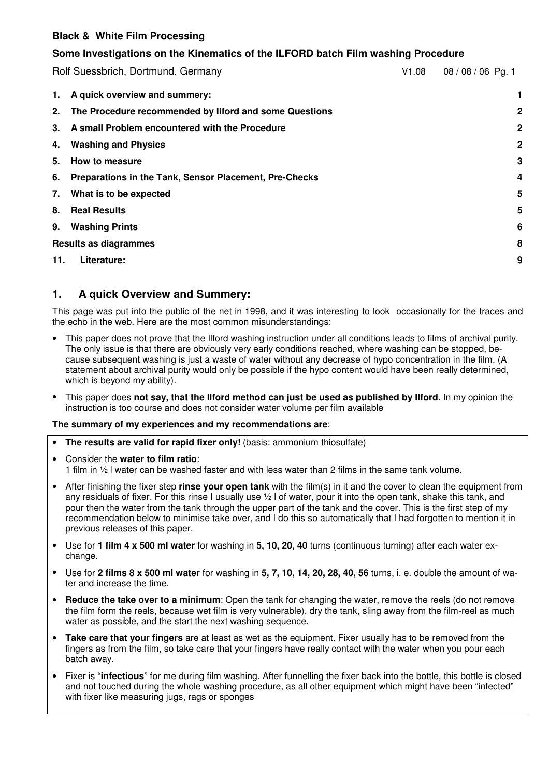## **Some Investigations on the Kinematics of the ILFORD batch Film washing Procedure**

Rolf Suessbrich, Dortmund, Germany V1.08 08 / 08 / 06 Pg. 1 **1. A quick overview and summery: 1 2. The Procedure recommended by Ilford and some Questions 2 3. A small Problem encountered with the Procedure 2 4. Washing and Physics 2 5. How to measure 3 6. Preparations in the Tank, Sensor Placement, Pre-Checks 4 7. What is to be expected 5 8. Real Results 5 9. Washing Prints 6 Results as diagrammes 8 11. Literature: 9**

# **1. A quick Overview and Summery:**

This page was put into the public of the net in 1998, and it was interesting to look occasionally for the traces and the echo in the web. Here are the most common misunderstandings:

- This paper does not prove that the Ilford washing instruction under all conditions leads to films of archival purity. The only issue is that there are obviously very early conditions reached, where washing can be stopped, because subsequent washing is just a waste of water without any decrease of hypo concentration in the film. (A statement about archival purity would only be possible if the hypo content would have been really determined, which is beyond my ability).
- This paper does **not say, that the Ilford method can just be used as published by Ilford**. In my opinion the instruction is too course and does not consider water volume per film available

#### **The summary of my experiences and my recommendations are**:

- **The results are valid for rapid fixer only!** (basis: ammonium thiosulfate)
- Consider the **water to film ratio**: 1 film in ½ l water can be washed faster and with less water than 2 films in the same tank volume.
- After finishing the fixer step **rinse your open tank** with the film(s) in it and the cover to clean the equipment from any residuals of fixer. For this rinse I usually use ½ l of water, pour it into the open tank, shake this tank, and pour then the water from the tank through the upper part of the tank and the cover. This is the first step of my recommendation below to minimise take over, and I do this so automatically that I had forgotten to mention it in previous releases of this paper.
- Use for **1 film 4 x 500 ml water** for washing in **5, 10, 20, 40** turns (continuous turning) after each water exchange.
- Use for **2 films 8 x 500 ml water** for washing in **5, 7, 10, 14, 20, 28, 40, 56** turns, i. e. double the amount of water and increase the time.
- **Reduce the take over to a minimum**: Open the tank for changing the water, remove the reels (do not remove the film form the reels, because wet film is very vulnerable), dry the tank, sling away from the film-reel as much water as possible, and the start the next washing sequence.
- **Take care that your fingers** are at least as wet as the equipment. Fixer usually has to be removed from the fingers as from the film, so take care that your fingers have really contact with the water when you pour each batch away.
- Fixer is "**infectious**" for me during film washing. After funnelling the fixer back into the bottle, this bottle is closed and not touched during the whole washing procedure, as all other equipment which might have been "infected" with fixer like measuring jugs, rags or sponges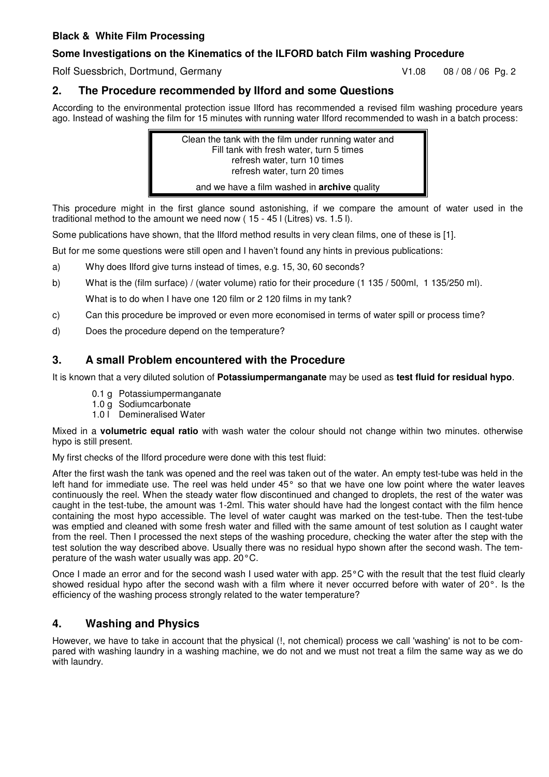## **Some Investigations on the Kinematics of the ILFORD batch Film washing Procedure**

Rolf Suessbrich, Dortmund, Germany V1.08 08/08/06 Pg. 2

# **2. The Procedure recommended by Ilford and some Questions**

According to the environmental protection issue Ilford has recommended a revised film washing procedure years ago. Instead of washing the film for 15 minutes with running water Ilford recommended to wash in a batch process:



This procedure might in the first glance sound astonishing, if we compare the amount of water used in the traditional method to the amount we need now ( 15 - 45 l (Litres) vs. 1.5 l).

Some publications have shown, that the Ilford method results in very clean films, one of these is [1].

But for me some questions were still open and I haven't found any hints in previous publications:

- a) Why does Ilford give turns instead of times, e.g. 15, 30, 60 seconds?
- b) What is the (film surface) / (water volume) ratio for their procedure (1 135 / 500ml, 1 135/250 ml). What is to do when I have one 120 film or 2 120 films in my tank?
- c) Can this procedure be improved or even more economised in terms of water spill or process time?
- d) Does the procedure depend on the temperature?

# **3. A small Problem encountered with the Procedure**

It is known that a very diluted solution of **Potassiumpermanganate** may be used as **test fluid for residual hypo**.

- 0.1 g Potassiumpermanganate
- 1.0 g Sodiumcarbonate
- 1.0 l Demineralised Water

Mixed in a **volumetric equal ratio** with wash water the colour should not change within two minutes. otherwise hypo is still present.

My first checks of the Ilford procedure were done with this test fluid:

After the first wash the tank was opened and the reel was taken out of the water. An empty test-tube was held in the left hand for immediate use. The reel was held under 45° so that we have one low point where the water leaves continuously the reel. When the steady water flow discontinued and changed to droplets, the rest of the water was caught in the test-tube, the amount was 1-2ml. This water should have had the longest contact with the film hence containing the most hypo accessible. The level of water caught was marked on the test-tube. Then the test-tube was emptied and cleaned with some fresh water and filled with the same amount of test solution as I caught water from the reel. Then I processed the next steps of the washing procedure, checking the water after the step with the test solution the way described above. Usually there was no residual hypo shown after the second wash. The temperature of the wash water usually was app. 20°C.

Once I made an error and for the second wash I used water with app. 25°C with the result that the test fluid clearly showed residual hypo after the second wash with a film where it never occurred before with water of 20°. Is the efficiency of the washing process strongly related to the water temperature?

# **4. Washing and Physics**

However, we have to take in account that the physical (!, not chemical) process we call 'washing' is not to be compared with washing laundry in a washing machine, we do not and we must not treat a film the same way as we do with laundry.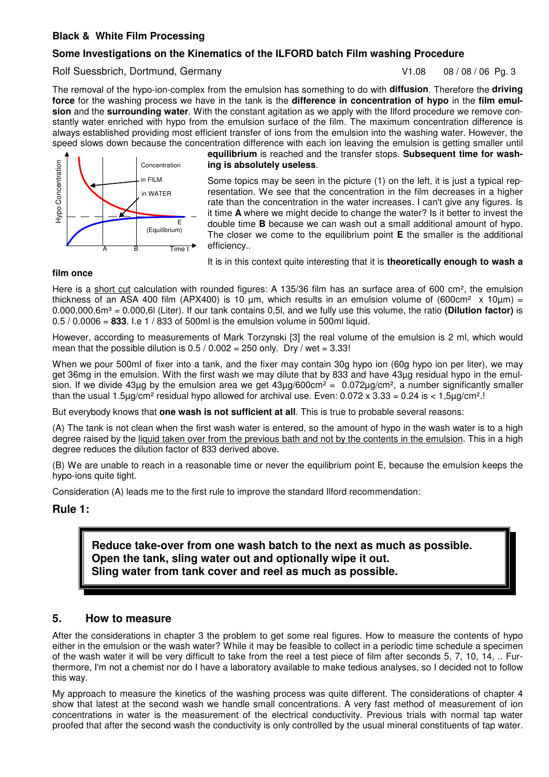#### **Some Investigations on the Kinematics of the ILFORD batch Film washing Procedure**

#### Rolf Suessbrich, Dortmund, Germany V1.08 08/08/06 Pq. 3

The removal of the hypo-ion-complex from the emulsion has something to do with **diffusion**. Therefore the **driving force** for the washing process we have in the tank is the **difference in concentration of hypo** in the **film emulsion** and the **surrounding water**. With the constant agitation as we apply with the Ilford procedure we remove constantly water enriched with hypo from the emulsion surface of the film. The maximum concentration difference is always established providing most efficient transfer of ions from the emulsion into the washing water. However, the speed slows down because the concentration difference with each ion leaving the emulsion is getting smaller until



**equilibrium** is reached and the transfer stops. **Subsequent time for washing is absolutely useless**.

Some topics may be seen in the picture (1) on the left, it is just a typical representation. We see that the concentration in the film decreases in a higher rate than the concentration in the water increases. I can't give any figures. Is it time **A** where we might decide to change the water? Is it better to invest the double time **B** because we can wash out a small additional amount of hypo. The closer we come to the equilibrium point **E** the smaller is the additional efficiency..

It is in this context quite interesting that it is **theoretically enough to wash a**

#### **film once**

Here is a short cut calculation with rounded figures: A 135/36 film has an surface area of 600 cm², the emulsion thickness of an ASA 400 film (APX400) is 10  $\mu$ m, which results in an emulsion volume of (600cm<sup>2</sup> x 10 $\mu$ m) = 0.000,000,6m³ = 0.000,6l (Liter). If our tank contains 0,5l, and we fully use this volume, the ratio **(Dilution factor)** is 0.5 / 0.0006 = **833**. I.e 1 / 833 of 500ml is the emulsion volume in 500ml liquid.

However, according to measurements of Mark Torzynski [3] the real volume of the emulsion is 2 ml, which would mean that the possible dilution is  $0.5 / 0.002 = 250$  only. Dry / wet = 3.33!

When we pour 500ml of fixer into a tank, and the fixer may contain 30g hypo ion (60g hypo ion per liter), we may get 36mg in the emulsion. With the first wash we may dilute that by 833 and have 43µg residual hypo in the emulsion. If we divide 43µg by the emulsion area we get  $43\mu q/600 \text{cm}^2 = 0.072\mu q/\text{cm}^2$ , a number significantly smaller than the usual 1.5 $\mu$ g/cm<sup>2</sup> residual hypo allowed for archival use. Even: 0.072 x 3.33 = 0.24 is < 1,5 $\mu$ g/cm<sup>2</sup>.!

But everybody knows that **one wash is not sufficient at all**. This is true to probable several reasons:

(A) The tank is not clean when the first wash water is entered, so the amount of hypo in the wash water is to a high degree raised by the liquid taken over from the previous bath and not by the contents in the emulsion. This in a high degree reduces the dilution factor of 833 derived above.

(B) We are unable to reach in a reasonable time or never the equilibrium point E, because the emulsion keeps the hypo-ions quite tight.

Consideration (A) leads me to the first rule to improve the standard Ilford recommendation:

#### **Rule 1:**

**Reduce take-over from one wash batch to the next as much as possible. Open the tank, sling water out and optionally wipe it out. Sling water from tank cover and reel as much as possible.**

#### **5. How to measure**

After the considerations in chapter 3 the problem to get some real figures. How to measure the contents of hypo either in the emulsion or the wash water? While it may be feasible to collect in a periodic time schedule a specimen of the wash water it will be very difficult to take from the reel a test piece of film after seconds 5, 7, 10, 14, .. Furthermore, I'm not a chemist nor do I have a laboratory available to make tedious analyses, so I decided not to follow this way. **Example the second that after the second that after the second was hender that after the second was hen after the second was hen after the second was hen after the second was hen after the second was hender the second wa** 

My approach to measure the kinetics of the washing process was quite different. The considerations of chapter 4 show that latest at the second wash we handle small concentrations. A very fast method of measurement of ion concentrations in water is the measurement of the electrical conductivity. Previous trials with normal tap water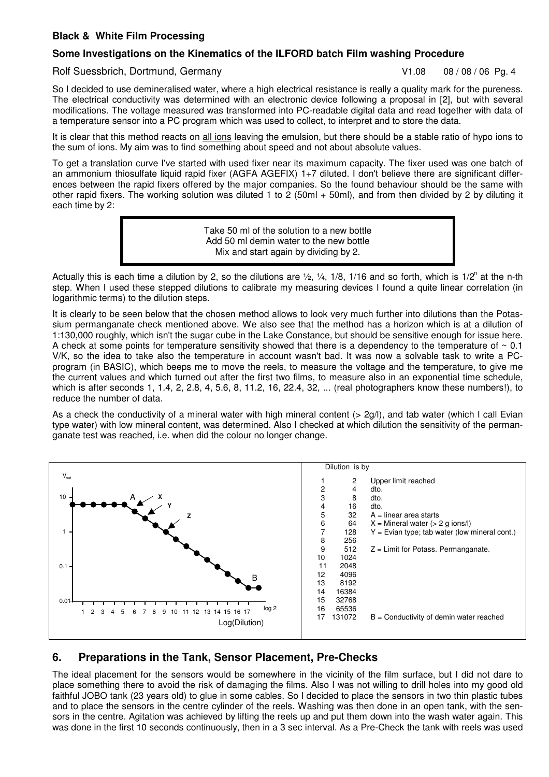#### **Some Investigations on the Kinematics of the ILFORD batch Film washing Procedure**

#### Rolf Suessbrich, Dortmund, Germany V1.08 08/08/06 Pg. 4

So I decided to use demineralised water, where a high electrical resistance is really a quality mark for the pureness. The electrical conductivity was determined with an electronic device following a proposal in [2], but with several modifications. The voltage measured was transformed into PC-readable digital data and read together with data of a temperature sensor into a PC program which was used to collect, to interpret and to store the data.

It is clear that this method reacts on all ions leaving the emulsion, but there should be a stable ratio of hypo ions to the sum of ions. My aim was to find something about speed and not about absolute values.

To get a translation curve I've started with used fixer near its maximum capacity. The fixer used was one batch of an ammonium thiosulfate liquid rapid fixer (AGFA AGEFIX) 1+7 diluted. I don't believe there are significant differences between the rapid fixers offered by the major companies. So the found behaviour should be the same with other rapid fixers. The working solution was diluted 1 to 2 (50ml + 50ml), and from then divided by 2 by diluting it each time by 2:

> Take 50 ml of the solution to a new bottle Add 50 ml demin water to the new bottle Mix and start again by dividing by 2.

Actually this is each time a dilution by 2, so the dilutions are  $\frac{1}{2}$ ,  $\frac{1}{4}$ , 1/8, 1/16 and so forth, which is 1/2<sup>n</sup> at the n-th step. When I used these stepped dilutions to calibrate my measuring devices I found a quite linear correlation (in logarithmic terms) to the dilution steps.

It is clearly to be seen below that the chosen method allows to look very much further into dilutions than the Potassium permanganate check mentioned above. We also see that the method has a horizon which is at a dilution of 1:130,000 roughly, which isn't the sugar cube in the Lake Constance, but should be sensitive enough for issue here. A check at some points for temperature sensitivity showed that there is a dependency to the temperature of  $\sim 0.1$ V/K, so the idea to take also the temperature in account wasn't bad. It was now a solvable task to write a PCprogram (in BASIC), which beeps me to move the reels, to measure the voltage and the temperature, to give me the current values and which turned out after the first two films, to measure also in an exponential time schedule, which is after seconds 1, 1.4, 2, 2.8, 4, 5.6, 8, 11.2, 16, 22.4, 32, ... (real photographers know these numbers!), to reduce the number of data.

As a check the conductivity of a mineral water with high mineral content ( $> 2q/l$ ), and tab water (which I call Evian type water) with low mineral content, was determined. Also I checked at which dilution the sensitivity of the permanganate test was reached, i.e. when did the colour no longer change.



# **6. Preparations in the Tank, Sensor Placement, Pre-Checks**

The ideal placement for the sensors would be somewhere in the vicinity of the film surface, but I did not dare to place something there to avoid the risk of damaging the films. Also I was not willing to drill holes into my good old faithful JOBO tank (23 years old) to glue in some cables. So I decided to place the sensors in two thin plastic tubes and to place the sensors in the centre cylinder of the reels. Washing was then done in an open tank, with the sensors in the centre. Agitation was achieved by lifting the reels up and put them down into the wash water again. This was done in the first 10 seconds continuously, then in a 3 sec interval. As a Pre-Check the tank with reels was used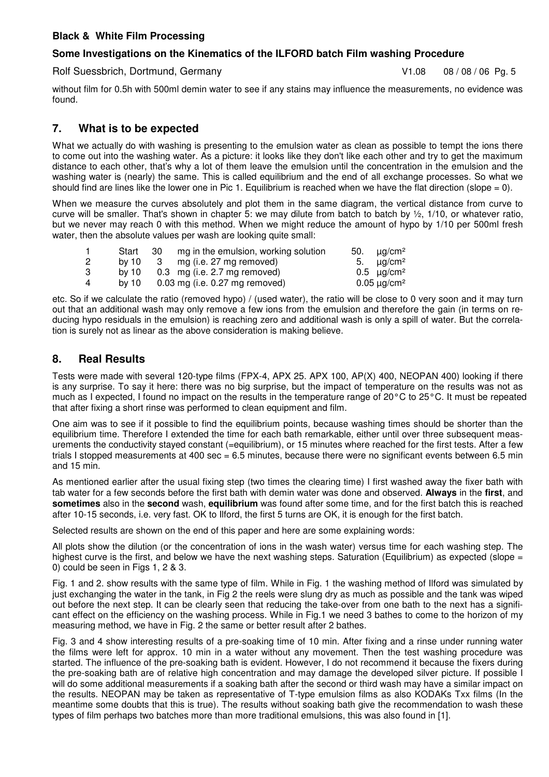#### **Some Investigations on the Kinematics of the ILFORD batch Film washing Procedure**

Rolf Suessbrich, Dortmund, Germany V1.08 08/08/06 Pg. 5

without film for 0.5h with 500ml demin water to see if any stains may influence the measurements, no evidence was found.

# **7. What is to be expected**

What we actually do with washing is presenting to the emulsion water as clean as possible to tempt the ions there to come out into the washing water. As a picture: it looks like they don't like each other and try to get the maximum distance to each other, that's why a lot of them leave the emulsion until the concentration in the emulsion and the washing water is (nearly) the same. This is called equilibrium and the end of all exchange processes. So what we should find are lines like the lower one in Pic 1. Equilibrium is reached when we have the flat direction (slope = 0).

When we measure the curves absolutely and plot them in the same diagram, the vertical distance from curve to curve will be smaller. That's shown in chapter 5: we may dilute from batch to batch by  $\frac{1}{2}$ , 1/10, or whatever ratio, but we never may reach 0 with this method. When we might reduce the amount of hypo by 1/10 per 500ml fresh water, then the absolute values per wash are looking quite small:

|   | Start   | -30 | mg in the emulsion, working solution | 50. $\mu q/cm^2$       |
|---|---------|-----|--------------------------------------|------------------------|
| 2 | by $10$ |     | 3 mg (i.e. 27 mg removed)            | 5. $\mu q/cm^2$        |
| 3 | by $10$ |     | $0.3 \cdot mg$ (i.e. 2.7 mg removed) | $0.5 \quad \mu q/cm^2$ |
| 4 | by $10$ |     | 0.03 mg (i.e. 0.27 mg removed)       | $0.05 \mu g/cm^2$      |

etc. So if we calculate the ratio (removed hypo) / (used water), the ratio will be close to 0 very soon and it may turn out that an additional wash may only remove a few ions from the emulsion and therefore the gain (in terms on reducing hypo residuals in the emulsion) is reaching zero and additional wash is only a spill of water. But the correlation is surely not as linear as the above consideration is making believe.

# **8. Real Results**

Tests were made with several 120-type films (FPX-4, APX 25. APX 100, AP(X) 400, NEOPAN 400) looking if there is any surprise. To say it here: there was no big surprise, but the impact of temperature on the results was not as much as I expected, I found no impact on the results in the temperature range of 20°C to 25°C. It must be repeated that after fixing a short rinse was performed to clean equipment and film.

One aim was to see if it possible to find the equilibrium points, because washing times should be shorter than the equilibrium time. Therefore I extended the time for each bath remarkable, either until over three subsequent measurements the conductivity stayed constant (=equilibrium), or 15 minutes where reached for the first tests. After a few trials I stopped measurements at 400 sec = 6.5 minutes, because there were no significant events between 6.5 min and 15 min.

As mentioned earlier after the usual fixing step (two times the clearing time) I first washed away the fixer bath with tab water for a few seconds before the first bath with demin water was done and observed. **Always** in the **first**, and **sometimes** also in the **second** wash, **equilibrium** was found after some time, and for the first batch this is reached after 10-15 seconds, i.e. very fast. OK to Ilford, the first 5 turns are OK, it is enough for the first batch.

Selected results are shown on the end of this paper and here are some explaining words:

All plots show the dilution (or the concentration of ions in the wash water) versus time for each washing step. The highest curve is the first, and below we have the next washing steps. Saturation (Equilibrium) as expected (slope = 0) could be seen in Figs 1, 2 & 3.

Fig. 1 and 2. show results with the same type of film. While in Fig. 1 the washing method of Ilford was simulated by just exchanging the water in the tank, in Fig 2 the reels were slung dry as much as possible and the tank was wiped out before the next step. It can be clearly seen that reducing the take-over from one bath to the next has a significant effect on the efficiency on the washing process. While in Fig.1 we need 3 bathes to come to the horizon of my measuring method, we have in Fig. 2 the same or better result after 2 bathes.

Fig. 3 and 4 show interesting results of a pre-soaking time of 10 min. After fixing and a rinse under running water the films were left for approx. 10 min in a water without any movement. Then the test washing procedure was started. The influence of the pre-soaking bath is evident. However, I do not recommend it because the fixers during the pre-soaking bath are of relative high concentration and may damage the developed silver picture. If possible I will do some additional measurements if a soaking bath after the second or third wash may have a similar impact on the results. NEOPAN may be taken as representative of T-type emulsion films as also KODAKs Txx films (In the meantime some doubts that this is true). The results without soaking bath give the recommendation to wash these types of film perhaps two batches more than more traditional emulsions, this was also found in [1].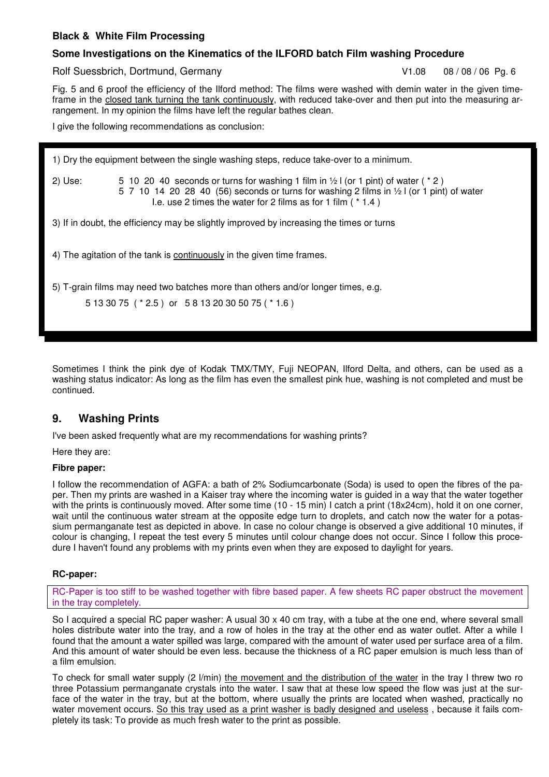#### **Some Investigations on the Kinematics of the ILFORD batch Film washing Procedure**

Rolf Suessbrich, Dortmund, Germany V1.08 08/08/06 Pg. 6

Fig. 5 and 6 proof the efficiency of the Ilford method: The films were washed with demin water in the given timeframe in the closed tank turning the tank continuously, with reduced take-over and then put into the measuring arrangement. In my opinion the films have left the regular bathes clean.

I give the following recommendations as conclusion:

1) Dry the equipment between the single washing steps, reduce take-over to a minimum. 2) Use:  $5 \tcdot 10 \tcdot 20 \tcdot 40$  seconds or turns for washing 1 film in  $\frac{1}{2}$  or 1 pint) of water ( $\frac{*}{2}$ ) 5 7 10 14 20 28 40 (56) seconds or turns for washing 2 films in ½ l (or 1 pint) of water I.e. use 2 times the water for 2 films as for 1 film ( \* 1.4 ) 3) If in doubt, the efficiency may be slightly improved by increasing the times or turns 4) The agitation of the tank is continuously in the given time frames.

5) T-grain films may need two batches more than others and/or longer times, e.g.

Sometimes I think the pink dye of Kodak TMX/TMY, Fuji NEOPAN, Ilford Delta, and others, can be used as a washing status indicator: As long as the film has even the smallest pink hue, washing is not completed and must be continued.

# **9. Washing Prints**

I've been asked frequently what are my recommendations for washing prints?

Here they are:

#### **Fibre paper:**

I follow the recommendation of AGFA: a bath of 2% Sodiumcarbonate (Soda) is used to open the fibres of the paper. Then my prints are washed in a Kaiser tray where the incoming water is guided in a way that the water together with the prints is continuously moved. After some time (10 - 15 min) I catch a print (18x24cm), hold it on one corner, wait until the continuous water stream at the opposite edge turn to droplets, and catch now the water for a potassium permanganate test as depicted in above. In case no colour change is observed a give additional 10 minutes, if colour is changing, I repeat the test every 5 minutes until colour change does not occur. Since I follow this procedure I haven't found any problems with my prints even when they are exposed to daylight for years.

#### **RC-paper:**

RC-Paper is too stiff to be washed together with fibre based paper. A few sheets RC paper obstruct the movement in the tray completely.

So I acquired a special RC paper washer: A usual 30 x 40 cm tray, with a tube at the one end, where several small holes distribute water into the tray, and a row of holes in the tray at the other end as water outlet. After a while I found that the amount a water spilled was large, compared with the amount of water used per surface area of a film. And this amount of water should be even less. because the thickness of a RC paper emulsion is much less than of a film emulsion.

To check for small water supply (2 l/min) the movement and the distribution of the water in the tray I threw two ro three Potassium permanganate crystals into the water. I saw that at these low speed the flow was just at the surface of the water in the tray, but at the bottom, where usually the prints are located when washed, practically no water movement occurs. So this tray used as a print washer is badly designed and useless , because it fails completely its task: To provide as much fresh water to the print as possible.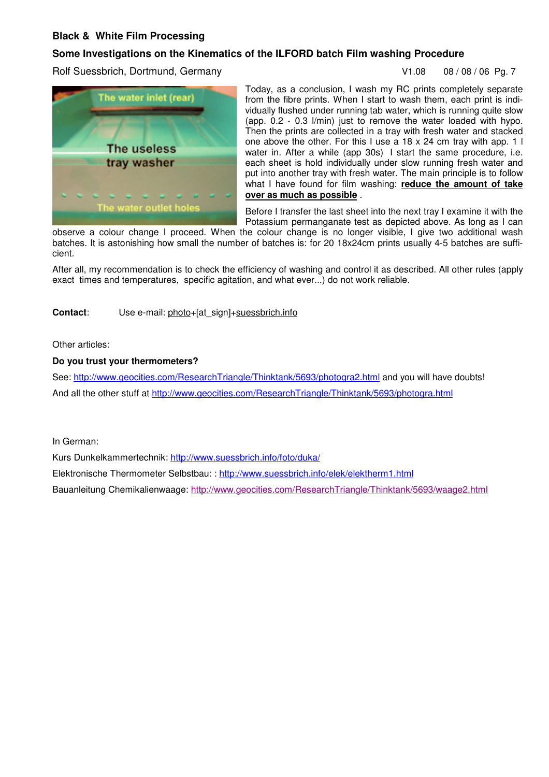#### **Some Investigations on the Kinematics of the ILFORD batch Film washing Procedure**

Rolf Suessbrich, Dortmund, Germany V1.08 08/08/06 Pg. 7





Today, as a conclusion, I wash my RC prints completely separate from the fibre prints. When I start to wash them, each print is individually flushed under running tab water, which is running quite slow (app. 0.2 - 0.3 l/min) just to remove the water loaded with hypo. Then the prints are collected in a tray with fresh water and stacked one above the other. For this I use a 18 x 24 cm tray with app. 1 l water in. After a while (app 30s) I start the same procedure, i.e. each sheet is hold individually under slow running fresh water and put into another tray with fresh water. The main principle is to follow what I have found for film washing: **reduce the amount of take over as much as possible** .

Before I transfer the last sheet into the next tray I examine it with the Potassium permanganate test as depicted above. As long as I can

observe a colour change I proceed. When the colour change is no longer visible, I give two additional wash batches. It is astonishing how small the number of batches is: for 20 18x24cm prints usually 4-5 batches are sufficient.

After all, my recommendation is to check the efficiency of washing and control it as described. All other rules (apply exact times and temperatures, specific agitation, and what ever...) do not work reliable.

#### **Contact:** Use e-mail: photo+[at\_sign]+suessbrich.info

Other articles:

#### **Do you trust your thermometers?**

See: http://www.geocities.com/ResearchTriangle/Thinktank/5693/photogra2.html and you will have doubts! And all the other stuff at http://www.geocities.com/ResearchTriangle/Thinktank/5693/photogra.html

In German:

Kurs Dunkelkammertechnik: http://www.suessbrich.info/foto/duka/

Elektronische Thermometer Selbstbau: : http://www.suessbrich.info/elek/elektherm1.html

Bauanleitung Chemikalienwaage: http://www.geocities.com/ResearchTriangle/Thinktank/5693/waage2.html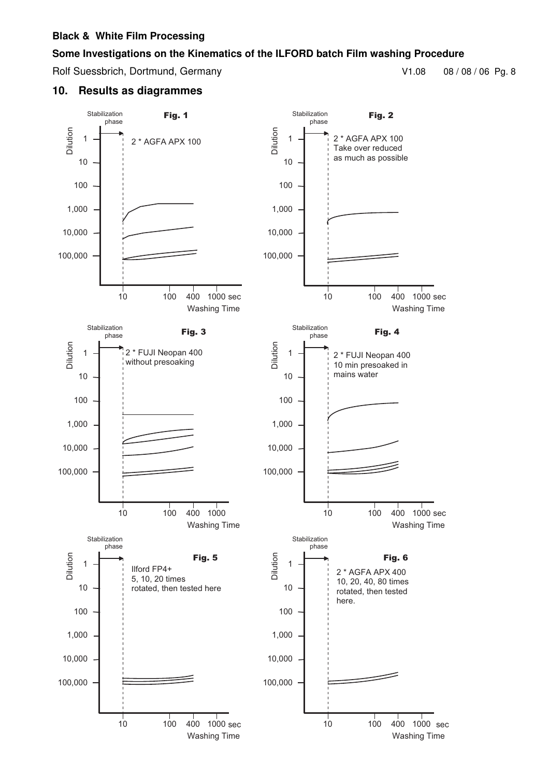#### **Some Investigations on the Kinematics of the ILFORD batch Film washing Procedure**

Rolf Suessbrich, Dortmund, Germany V1.08 08 / 08 / 08 / 06 Pg. 8

#### **10. Results as diagrammes**